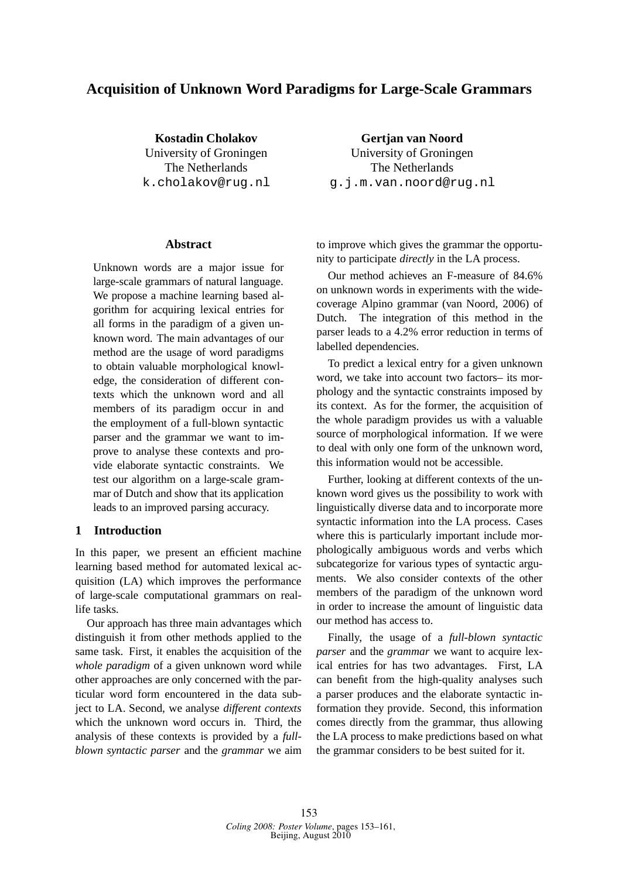# **Acquisition of Unknown Word Paradigms for Large-Scale Grammars**

**Kostadin Cholakov** University of Groningen The Netherlands k.cholakov@rug.nl

## **Abstract**

Unknown words are a major issue for large-scale grammars of natural language. We propose a machine learning based algorithm for acquiring lexical entries for all forms in the paradigm of a given unknown word. The main advantages of our method are the usage of word paradigms to obtain valuable morphological knowledge, the consideration of different contexts which the unknown word and all members of its paradigm occur in and the employment of a full-blown syntactic parser and the grammar we want to improve to analyse these contexts and provide elaborate syntactic constraints. We test our algorithm on a large-scale grammar of Dutch and show that its application leads to an improved parsing accuracy.

# **1 Introduction**

In this paper, we present an efficient machine learning based method for automated lexical acquisition (LA) which improves the performance of large-scale computational grammars on reallife tasks.

Our approach has three main advantages which distinguish it from other methods applied to the same task. First, it enables the acquisition of the *whole paradigm* of a given unknown word while other approaches are only concerned with the particular word form encountered in the data subject to LA. Second, we analyse *different contexts* which the unknown word occurs in. Third, the analysis of these contexts is provided by a *fullblown syntactic parser* and the *grammar* we aim

**Gertjan van Noord** University of Groningen The Netherlands g.j.m.van.noord@rug.nl

to improve which gives the grammar the opportunity to participate *directly* in the LA process.

Our method achieves an F-measure of 84.6% on unknown words in experiments with the widecoverage Alpino grammar (van Noord, 2006) of Dutch. The integration of this method in the parser leads to a 4.2% error reduction in terms of labelled dependencies.

To predict a lexical entry for a given unknown word, we take into account two factors– its morphology and the syntactic constraints imposed by its context. As for the former, the acquisition of the whole paradigm provides us with a valuable source of morphological information. If we were to deal with only one form of the unknown word, this information would not be accessible.

Further, looking at different contexts of the unknown word gives us the possibility to work with linguistically diverse data and to incorporate more syntactic information into the LA process. Cases where this is particularly important include morphologically ambiguous words and verbs which subcategorize for various types of syntactic arguments. We also consider contexts of the other members of the paradigm of the unknown word in order to increase the amount of linguistic data our method has access to.

Finally, the usage of a *full-blown syntactic parser* and the *grammar* we want to acquire lexical entries for has two advantages. First, LA can benefit from the high-quality analyses such a parser produces and the elaborate syntactic information they provide. Second, this information comes directly from the grammar, thus allowing the LA process to make predictions based on what the grammar considers to be best suited for it.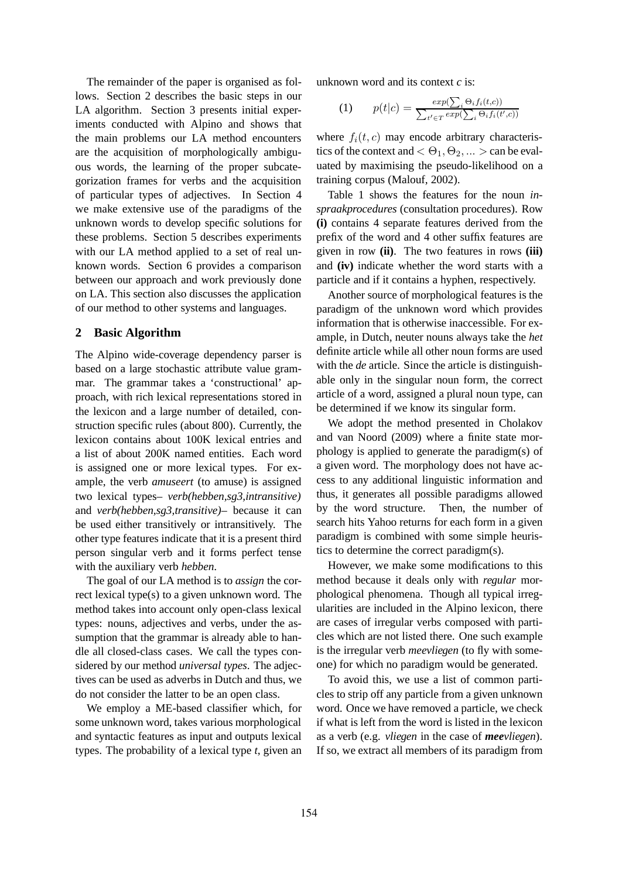The remainder of the paper is organised as follows. Section 2 describes the basic steps in our LA algorithm. Section 3 presents initial experiments conducted with Alpino and shows that the main problems our LA method encounters are the acquisition of morphologically ambiguous words, the learning of the proper subcategorization frames for verbs and the acquisition of particular types of adjectives. In Section 4 we make extensive use of the paradigms of the unknown words to develop specific solutions for these problems. Section 5 describes experiments with our LA method applied to a set of real unknown words. Section 6 provides a comparison between our approach and work previously done on LA. This section also discusses the application of our method to other systems and languages.

## **2 Basic Algorithm**

The Alpino wide-coverage dependency parser is based on a large stochastic attribute value grammar. The grammar takes a 'constructional' approach, with rich lexical representations stored in the lexicon and a large number of detailed, construction specific rules (about 800). Currently, the lexicon contains about 100K lexical entries and a list of about 200K named entities. Each word is assigned one or more lexical types. For example, the verb *amuseert* (to amuse) is assigned two lexical types– *verb(hebben,sg3,intransitive)* and *verb(hebben,sg3,transitive)*– because it can be used either transitively or intransitively. The other type features indicate that it is a present third person singular verb and it forms perfect tense with the auxiliary verb *hebben*.

The goal of our LA method is to *assign* the correct lexical type(s) to a given unknown word. The method takes into account only open-class lexical types: nouns, adjectives and verbs, under the assumption that the grammar is already able to handle all closed-class cases. We call the types considered by our method *universal types*. The adjectives can be used as adverbs in Dutch and thus, we do not consider the latter to be an open class.

We employ a ME-based classifier which, for some unknown word, takes various morphological and syntactic features as input and outputs lexical types. The probability of a lexical type *t*, given an

unknown word and its context *c* is:

(1) 
$$
p(t|c) = \frac{exp(\sum_{i} \Theta_{i} f_{i}(t, c))}{\sum_{t' \in T} exp(\sum_{i} \Theta_{i} f_{i}(t', c))}
$$

where  $f_i(t, c)$  may encode arbitrary characteristics of the context and  $< \Theta_1, \Theta_2, ... >$  can be evaluated by maximising the pseudo-likelihood on a training corpus (Malouf, 2002).

Table 1 shows the features for the noun *inspraakprocedures* (consultation procedures). Row **(i)** contains 4 separate features derived from the prefix of the word and 4 other suffix features are given in row **(ii)**. The two features in rows **(iii)** and **(iv)** indicate whether the word starts with a particle and if it contains a hyphen, respectively.

Another source of morphological features is the paradigm of the unknown word which provides information that is otherwise inaccessible. For example, in Dutch, neuter nouns always take the *het* definite article while all other noun forms are used with the *de* article. Since the article is distinguishable only in the singular noun form, the correct article of a word, assigned a plural noun type, can be determined if we know its singular form.

We adopt the method presented in Cholakov and van Noord (2009) where a finite state morphology is applied to generate the paradigm(s) of a given word. The morphology does not have access to any additional linguistic information and thus, it generates all possible paradigms allowed by the word structure. Then, the number of search hits Yahoo returns for each form in a given paradigm is combined with some simple heuristics to determine the correct paradigm(s).

However, we make some modifications to this method because it deals only with *regular* morphological phenomena. Though all typical irregularities are included in the Alpino lexicon, there are cases of irregular verbs composed with particles which are not listed there. One such example is the irregular verb *meevliegen* (to fly with someone) for which no paradigm would be generated.

To avoid this, we use a list of common particles to strip off any particle from a given unknown word. Once we have removed a particle, we check if what is left from the word is listed in the lexicon as a verb (e.g. *vliegen* in the case of *meevliegen*). If so, we extract all members of its paradigm from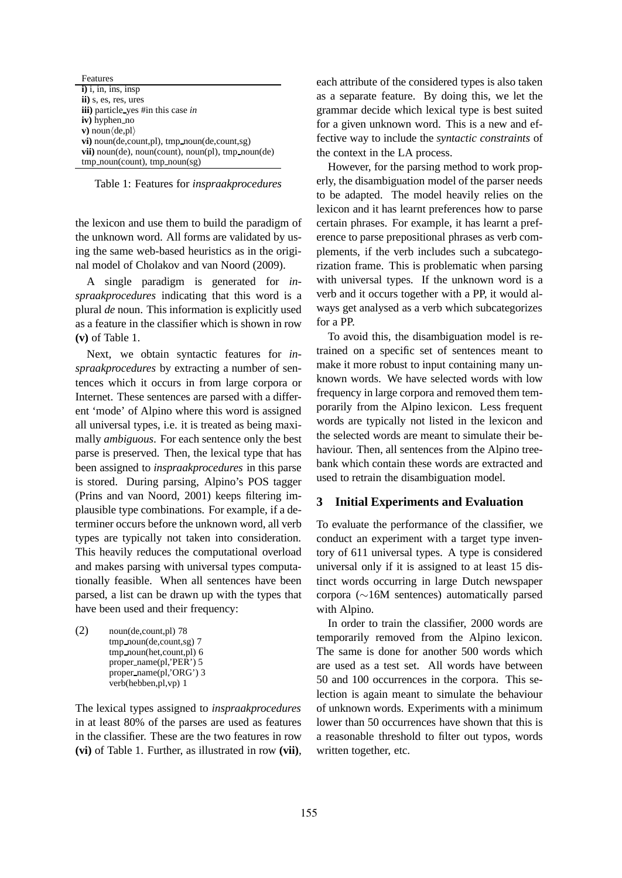| Features                                                       |
|----------------------------------------------------------------|
| $i)$ i, in, ins, insp                                          |
| ii) s, es, res, ures                                           |
| <b>iii</b> ) particle yes #in this case <i>in</i>              |
| iv) hyphen_no                                                  |
| v) noun $\langle$ de, pl $\rangle$                             |
| $vi)$ noun(de, count, pl), tmp_noun(de, count, sg)             |
| <b>vii</b> ) noun(de), noun(count), noun(pl), $tmp\_noun$ (de) |
| $tmp\_noun(count), tmp\_noun(sg)$                              |

Table 1: Features for *inspraakprocedures*

the lexicon and use them to build the paradigm of the unknown word. All forms are validated by using the same web-based heuristics as in the original model of Cholakov and van Noord (2009).

A single paradigm is generated for *inspraakprocedures* indicating that this word is a plural *de* noun. This information is explicitly used as a feature in the classifier which is shown in row **(v)** of Table 1.

Next, we obtain syntactic features for *inspraakprocedures* by extracting a number of sentences which it occurs in from large corpora or Internet. These sentences are parsed with a different 'mode' of Alpino where this word is assigned all universal types, i.e. it is treated as being maximally *ambiguous*. For each sentence only the best parse is preserved. Then, the lexical type that has been assigned to *inspraakprocedures* in this parse is stored. During parsing, Alpino's POS tagger (Prins and van Noord, 2001) keeps filtering implausible type combinations. For example, if a determiner occurs before the unknown word, all verb types are typically not taken into consideration. This heavily reduces the computational overload and makes parsing with universal types computationally feasible. When all sentences have been parsed, a list can be drawn up with the types that have been used and their frequency:

(2) noun(de,count,pl) 78 tmp noun(de,count,sg) 7 tmp noun(het,count,pl) 6 proper name(pl,'PER') 5 proper name(pl,'ORG') 3 verb(hebben,pl,vp) 1

The lexical types assigned to *inspraakprocedures* in at least 80% of the parses are used as features in the classifier. These are the two features in row **(vi)** of Table 1. Further, as illustrated in row **(vii)**, each attribute of the considered types is also taken as a separate feature. By doing this, we let the grammar decide which lexical type is best suited for a given unknown word. This is a new and effective way to include the *syntactic constraints* of the context in the LA process.

However, for the parsing method to work properly, the disambiguation model of the parser needs to be adapted. The model heavily relies on the lexicon and it has learnt preferences how to parse certain phrases. For example, it has learnt a preference to parse prepositional phrases as verb complements, if the verb includes such a subcategorization frame. This is problematic when parsing with universal types. If the unknown word is a verb and it occurs together with a PP, it would always get analysed as a verb which subcategorizes for a PP.

To avoid this, the disambiguation model is retrained on a specific set of sentences meant to make it more robust to input containing many unknown words. We have selected words with low frequency in large corpora and removed them temporarily from the Alpino lexicon. Less frequent words are typically not listed in the lexicon and the selected words are meant to simulate their behaviour. Then, all sentences from the Alpino treebank which contain these words are extracted and used to retrain the disambiguation model.

## **3 Initial Experiments and Evaluation**

To evaluate the performance of the classifier, we conduct an experiment with a target type inventory of 611 universal types. A type is considered universal only if it is assigned to at least 15 distinct words occurring in large Dutch newspaper corpora (∼16M sentences) automatically parsed with Alpino.

In order to train the classifier, 2000 words are temporarily removed from the Alpino lexicon. The same is done for another 500 words which are used as a test set. All words have between 50 and 100 occurrences in the corpora. This selection is again meant to simulate the behaviour of unknown words. Experiments with a minimum lower than 50 occurrences have shown that this is a reasonable threshold to filter out typos, words written together, etc.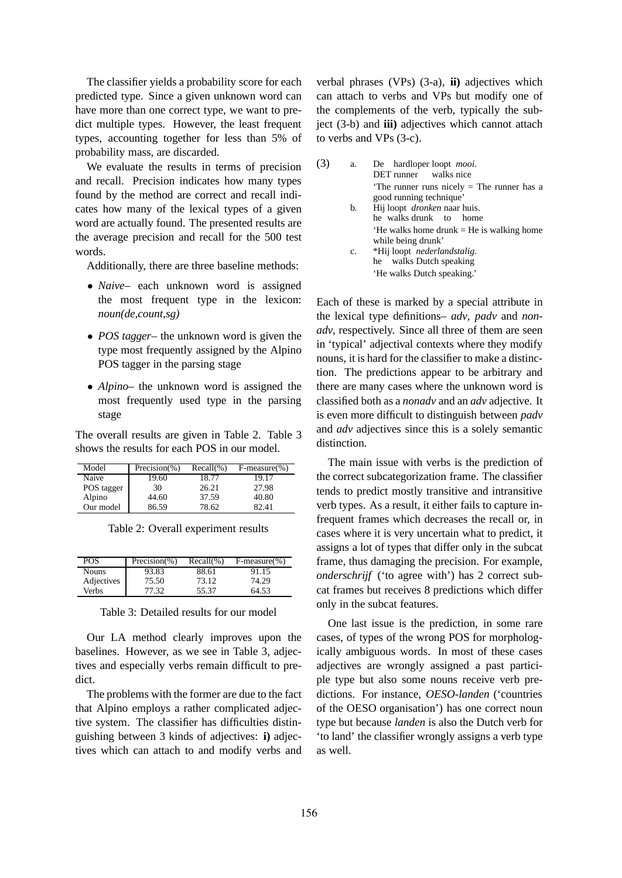The classifier yields a probability score for each predicted type. Since a given unknown word can have more than one correct type, we want to predict multiple types. However, the least frequent types, accounting together for less than 5% of probability mass, are discarded.

We evaluate the results in terms of precision and recall. Precision indicates how many types found by the method are correct and recall indicates how many of the lexical types of a given word are actually found. The presented results are the average precision and recall for the 500 test words.

Additionally, there are three baseline methods:

- *Naive* each unknown word is assigned the most frequent type in the lexicon: *noun(de,count,sg)*
- *POS tagger* the unknown word is given the type most frequently assigned by the Alpino POS tagger in the parsing stage
- *Alpino* the unknown word is assigned the most frequently used type in the parsing stage

The overall results are given in Table 2. Table 3 shows the results for each POS in our model.

| Model      | $Precision(\% )$ | $Recall(\% )$ | $F-measure(\% )$ |
|------------|------------------|---------------|------------------|
| Naive      | 19.60            | 18.77         | 19.17            |
| POS tagger | 30               | 26.21         | 27.98            |
| Alpino     | 44.60            | 37.59         | 40.80            |
| Our model  | 86.59            | 78.62         | 82.41            |

| Table 2: Overall experiment results |  |
|-------------------------------------|--|
|-------------------------------------|--|

| POS        | $Precision(\% )$ | $Recall(\% )$ | $F-measure(\% )$ |
|------------|------------------|---------------|------------------|
| Nouns      | 93.83            | 88.61         | 91.15            |
| Adjectives | 75.50            | 73.12         | 74.29            |
| Verbs      | 77.32            | 55.37         | 64.53            |

#### Table 3: Detailed results for our model

Our LA method clearly improves upon the baselines. However, as we see in Table 3, adjectives and especially verbs remain difficult to predict.

The problems with the former are due to the fact that Alpino employs a rather complicated adjective system. The classifier has difficulties distinguishing between 3 kinds of adjectives: **i)** adjectives which can attach to and modify verbs and

verbal phrases (VPs) (3-a), **ii)** adjectives which can attach to verbs and VPs but modify one of the complements of the verb, typically the subject (3-b) and **iii)** adjectives which cannot attach to verbs and VPs (3-c).

| a.          | De hardloper loopt <i>mooi</i> .<br>DET runner walks nice                                                                                                 |
|-------------|-----------------------------------------------------------------------------------------------------------------------------------------------------------|
|             | The runner runs nicely $=$ The runner has a<br>good running technique'<br>b. Hij loopt <i>dronken</i> naar huis.<br>he walks drunk to home                |
| $c_{\cdot}$ | 'He walks home drunk $=$ He is walking home<br>while being drunk'<br>*Hij loopt nederlandstalig.<br>he walks Dutch speaking<br>'He walks Dutch speaking.' |

Each of these is marked by a special attribute in the lexical type definitions– *adv*, *padv* and *nonadv*, respectively. Since all three of them are seen in 'typical' adjectival contexts where they modify nouns, it is hard for the classifier to make a distinction. The predictions appear to be arbitrary and there are many cases where the unknown word is classified both as a *nonadv* and an *adv* adjective. It is even more difficult to distinguish between *padv* and *adv* adjectives since this is a solely semantic distinction.

The main issue with verbs is the prediction of the correct subcategorization frame. The classifier tends to predict mostly transitive and intransitive verb types. As a result, it either fails to capture infrequent frames which decreases the recall or, in cases where it is very uncertain what to predict, it assigns a lot of types that differ only in the subcat frame, thus damaging the precision. For example, *onderschrijf* ('to agree with') has 2 correct subcat frames but receives 8 predictions which differ only in the subcat features.

One last issue is the prediction, in some rare cases, of types of the wrong POS for morphologically ambiguous words. In most of these cases adjectives are wrongly assigned a past participle type but also some nouns receive verb predictions. For instance, *OESO-landen* ('countries of the OESO organisation') has one correct noun type but because *landen* is also the Dutch verb for 'to land' the classifier wrongly assigns a verb type as well.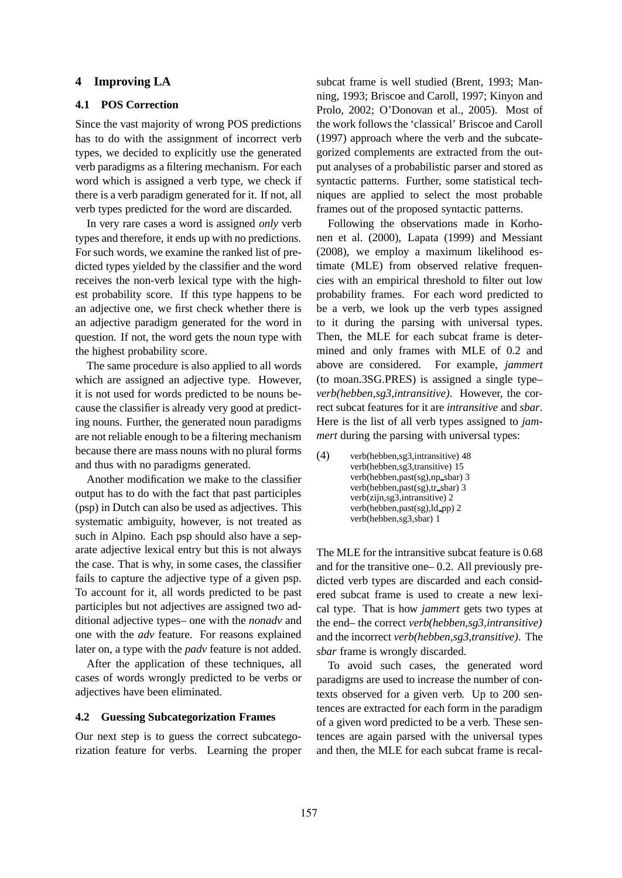#### **4 Improving LA**

#### **4.1 POS Correction**

Since the vast majority of wrong POS predictions has to do with the assignment of incorrect verb types, we decided to explicitly use the generated verb paradigms as a filtering mechanism. For each word which is assigned a verb type, we check if there is a verb paradigm generated for it. If not, all verb types predicted for the word are discarded.

In very rare cases a word is assigned *only* verb types and therefore, it ends up with no predictions. For such words, we examine the ranked list of predicted types yielded by the classifier and the word receives the non-verb lexical type with the highest probability score. If this type happens to be an adjective one, we first check whether there is an adjective paradigm generated for the word in question. If not, the word gets the noun type with the highest probability score.

The same procedure is also applied to all words which are assigned an adjective type. However, it is not used for words predicted to be nouns because the classifier is already very good at predicting nouns. Further, the generated noun paradigms are not reliable enough to be a filtering mechanism because there are mass nouns with no plural forms and thus with no paradigms generated.

Another modification we make to the classifier output has to do with the fact that past participles (psp) in Dutch can also be used as adjectives. This systematic ambiguity, however, is not treated as such in Alpino. Each psp should also have a separate adjective lexical entry but this is not always the case. That is why, in some cases, the classifier fails to capture the adjective type of a given psp. To account for it, all words predicted to be past participles but not adjectives are assigned two additional adjective types– one with the *nonadv* and one with the *adv* feature. For reasons explained later on, a type with the *padv* feature is not added.

After the application of these techniques, all cases of words wrongly predicted to be verbs or adjectives have been eliminated.

# **4.2 Guessing Subcategorization Frames**

Our next step is to guess the correct subcategorization feature for verbs. Learning the proper

subcat frame is well studied (Brent, 1993; Manning, 1993; Briscoe and Caroll, 1997; Kinyon and Prolo, 2002; O'Donovan et al., 2005). Most of the work follows the 'classical' Briscoe and Caroll (1997) approach where the verb and the subcategorized complements are extracted from the output analyses of a probabilistic parser and stored as syntactic patterns. Further, some statistical techniques are applied to select the most probable frames out of the proposed syntactic patterns.

Following the observations made in Korhonen et al. (2000), Lapata (1999) and Messiant (2008), we employ a maximum likelihood estimate (MLE) from observed relative frequencies with an empirical threshold to filter out low probability frames. For each word predicted to be a verb, we look up the verb types assigned to it during the parsing with universal types. Then, the MLE for each subcat frame is determined and only frames with MLE of 0.2 and above are considered. For example, *jammert* (to moan.3SG.PRES) is assigned a single type– *verb(hebben,sg3,intransitive)*. However, the correct subcat features for it are *intransitive* and *sbar*. Here is the list of all verb types assigned to *jammert* during the parsing with universal types:

(4) verb(hebben,sg3,intransitive) 48 verb(hebben,sg3,transitive) 15 verb(hebben,past(sg),np sbar) 3 verb(hebben,past(sg),tr sbar) 3 verb(zijn,sg3,intransitive) 2 verb(hebben,past(sg),ld\_pp) 2 verb(hebben,sg3,sbar) 1

The MLE for the intransitive subcat feature is 0.68 and for the transitive one– 0.2. All previously predicted verb types are discarded and each considered subcat frame is used to create a new lexical type. That is how *jammert* gets two types at the end– the correct *verb(hebben,sg3,intransitive)* and the incorrect *verb(hebben,sg3,transitive)*. The *sbar* frame is wrongly discarded.

To avoid such cases, the generated word paradigms are used to increase the number of contexts observed for a given verb. Up to 200 sentences are extracted for each form in the paradigm of a given word predicted to be a verb. These sentences are again parsed with the universal types and then, the MLE for each subcat frame is recal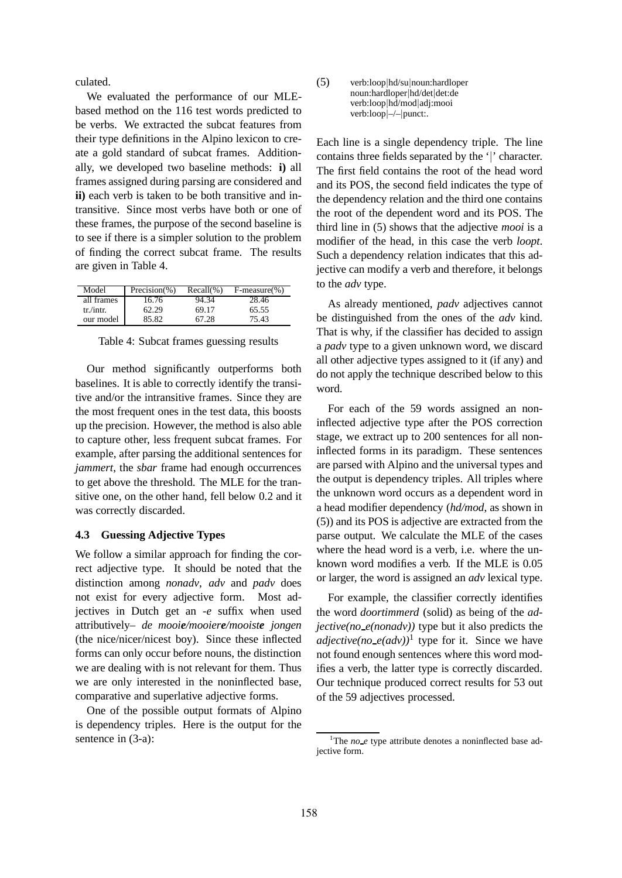culated.

We evaluated the performance of our MLEbased method on the 116 test words predicted to be verbs. We extracted the subcat features from their type definitions in the Alpino lexicon to create a gold standard of subcat frames. Additionally, we developed two baseline methods: **i)** all frames assigned during parsing are considered and **ii)** each verb is taken to be both transitive and intransitive. Since most verbs have both or one of these frames, the purpose of the second baseline is to see if there is a simpler solution to the problem of finding the correct subcat frame. The results are given in Table 4.

| Model      | Precision $(\% )$ | $Recall(\% )$ | $F-measure(\% )$ |
|------------|-------------------|---------------|------------------|
| all frames | 16.76             | 94.34         | 28.46            |
| tr./intr.  | 62.29             | 69.17         | 65.55            |
| our model  | 85.82             | 67.28         | 75.43            |

Table 4: Subcat frames guessing results

Our method significantly outperforms both baselines. It is able to correctly identify the transitive and/or the intransitive frames. Since they are the most frequent ones in the test data, this boosts up the precision. However, the method is also able to capture other, less frequent subcat frames. For example, after parsing the additional sentences for *jammert*, the *sbar* frame had enough occurrences to get above the threshold. The MLE for the transitive one, on the other hand, fell below 0.2 and it was correctly discarded.

## **4.3 Guessing Adjective Types**

We follow a similar approach for finding the correct adjective type. It should be noted that the distinction among *nonadv*, *adv* and *padv* does not exist for every adjective form. Most adjectives in Dutch get an *-e* suffix when used attributively– *de mooie/mooiere/mooiste jongen* (the nice/nicer/nicest boy). Since these inflected forms can only occur before nouns, the distinction we are dealing with is not relevant for them. Thus we are only interested in the noninflected base, comparative and superlative adjective forms.

One of the possible output formats of Alpino is dependency triples. Here is the output for the sentence in (3-a):

(5) verb:loop|hd/su|noun:hardloper noun:hardloper|hd/det|det:de verb:loop|hd/mod|adj:mooi verb:loop|–/–|punct:.

Each line is a single dependency triple. The line contains three fields separated by the '|' character. The first field contains the root of the head word and its POS, the second field indicates the type of the dependency relation and the third one contains the root of the dependent word and its POS. The third line in (5) shows that the adjective *mooi* is a modifier of the head, in this case the verb *loopt*. Such a dependency relation indicates that this adjective can modify a verb and therefore, it belongs to the *adv* type.

As already mentioned, *padv* adjectives cannot be distinguished from the ones of the *adv* kind. That is why, if the classifier has decided to assign a *padv* type to a given unknown word, we discard all other adjective types assigned to it (if any) and do not apply the technique described below to this word.

For each of the 59 words assigned an noninflected adjective type after the POS correction stage, we extract up to 200 sentences for all noninflected forms in its paradigm. These sentences are parsed with Alpino and the universal types and the output is dependency triples. All triples where the unknown word occurs as a dependent word in a head modifier dependency (*hd/mod*, as shown in (5)) and its POS is adjective are extracted from the parse output. We calculate the MLE of the cases where the head word is a verb, i.e. where the unknown word modifies a verb. If the MLE is 0.05 or larger, the word is assigned an *adv* lexical type.

For example, the classifier correctly identifies the word *doortimmerd* (solid) as being of the *adjective(no e(nonadv))* type but it also predicts the *adjective*( $no_e(adv)$ )<sup>1</sup> type for it. Since we have not found enough sentences where this word modifies a verb, the latter type is correctly discarded. Our technique produced correct results for 53 out of the 59 adjectives processed.

<sup>&</sup>lt;sup>1</sup>The *no\_e* type attribute denotes a noninflected base adjective form.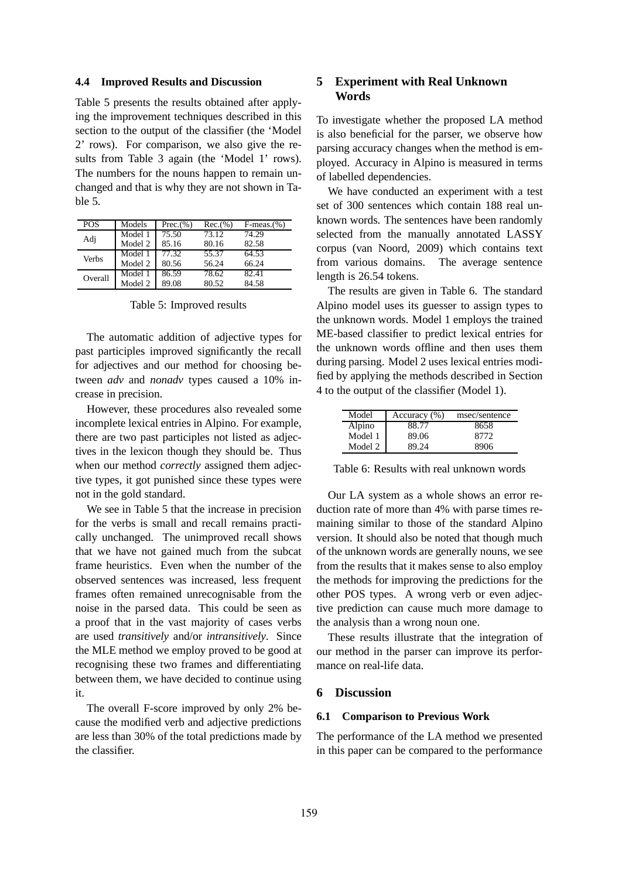#### **4.4 Improved Results and Discussion**

Table 5 presents the results obtained after applying the improvement techniques described in this section to the output of the classifier (the 'Model 2' rows). For comparison, we also give the results from Table 3 again (the 'Model 1' rows). The numbers for the nouns happen to remain unchanged and that is why they are not shown in Table 5.

| <b>POS</b> | Models  | Prec.(%) | Rec.(% ) | $F-meas.(%)$ |
|------------|---------|----------|----------|--------------|
|            | Model 1 | 75.50    | 73.12    | 74.29        |
| Adj        | Model 2 | 85.16    | 80.16    | 82.58        |
| Verbs      | Model 1 | 77.32    | 55.37    | 64.53        |
|            | Model 2 | 80.56    | 56.24    | 66.24        |
| Overall    | Model 1 | 86.59    | 78.62    | 82.41        |
|            | Model 2 | 89.08    | 80.52    | 84.58        |

Table 5: Improved results

The automatic addition of adjective types for past participles improved significantly the recall for adjectives and our method for choosing between *adv* and *nonadv* types caused a 10% increase in precision.

However, these procedures also revealed some incomplete lexical entries in Alpino. For example, there are two past participles not listed as adjectives in the lexicon though they should be. Thus when our method *correctly* assigned them adjective types, it got punished since these types were not in the gold standard.

We see in Table 5 that the increase in precision for the verbs is small and recall remains practically unchanged. The unimproved recall shows that we have not gained much from the subcat frame heuristics. Even when the number of the observed sentences was increased, less frequent frames often remained unrecognisable from the noise in the parsed data. This could be seen as a proof that in the vast majority of cases verbs are used *transitively* and/or *intransitively*. Since the MLE method we employ proved to be good at recognising these two frames and differentiating between them, we have decided to continue using it.

The overall F-score improved by only 2% because the modified verb and adjective predictions are less than 30% of the total predictions made by the classifier.

# **5 Experiment with Real Unknown Words**

To investigate whether the proposed LA method is also beneficial for the parser, we observe how parsing accuracy changes when the method is employed. Accuracy in Alpino is measured in terms of labelled dependencies.

We have conducted an experiment with a test set of 300 sentences which contain 188 real unknown words. The sentences have been randomly selected from the manually annotated LASSY corpus (van Noord, 2009) which contains text from various domains. The average sentence length is 26.54 tokens.

The results are given in Table 6. The standard Alpino model uses its guesser to assign types to the unknown words. Model 1 employs the trained ME-based classifier to predict lexical entries for the unknown words offline and then uses them during parsing. Model 2 uses lexical entries modified by applying the methods described in Section 4 to the output of the classifier (Model 1).

| Model   | Accuracy $(\% )$ | msec/sentence |
|---------|------------------|---------------|
| Alpino  | 88.77            | 8658          |
| Model 1 | 89.06            | 8772          |
| Model 2 | 89.24            | 8906          |

Table 6: Results with real unknown words

Our LA system as a whole shows an error reduction rate of more than 4% with parse times remaining similar to those of the standard Alpino version. It should also be noted that though much of the unknown words are generally nouns, we see from the results that it makes sense to also employ the methods for improving the predictions for the other POS types. A wrong verb or even adjective prediction can cause much more damage to the analysis than a wrong noun one.

These results illustrate that the integration of our method in the parser can improve its performance on real-life data.

# **6 Discussion**

# **6.1 Comparison to Previous Work**

The performance of the LA method we presented in this paper can be compared to the performance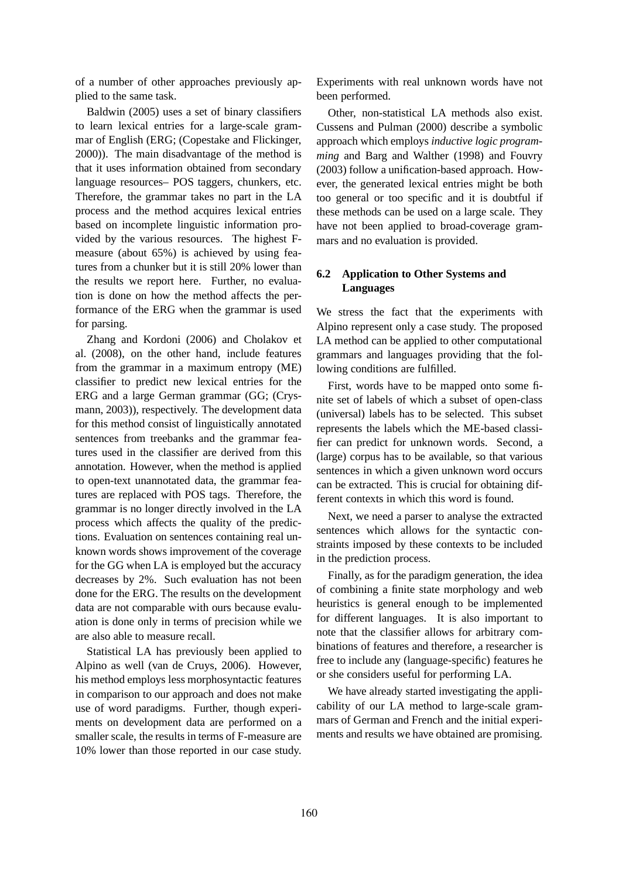of a number of other approaches previously applied to the same task.

Baldwin (2005) uses a set of binary classifiers to learn lexical entries for a large-scale grammar of English (ERG; (Copestake and Flickinger, 2000)). The main disadvantage of the method is that it uses information obtained from secondary language resources– POS taggers, chunkers, etc. Therefore, the grammar takes no part in the LA process and the method acquires lexical entries based on incomplete linguistic information provided by the various resources. The highest Fmeasure (about 65%) is achieved by using features from a chunker but it is still 20% lower than the results we report here. Further, no evaluation is done on how the method affects the performance of the ERG when the grammar is used for parsing.

Zhang and Kordoni (2006) and Cholakov et al. (2008), on the other hand, include features from the grammar in a maximum entropy (ME) classifier to predict new lexical entries for the ERG and a large German grammar (GG; (Crysmann, 2003)), respectively. The development data for this method consist of linguistically annotated sentences from treebanks and the grammar features used in the classifier are derived from this annotation. However, when the method is applied to open-text unannotated data, the grammar features are replaced with POS tags. Therefore, the grammar is no longer directly involved in the LA process which affects the quality of the predictions. Evaluation on sentences containing real unknown words shows improvement of the coverage for the GG when LA is employed but the accuracy decreases by 2%. Such evaluation has not been done for the ERG. The results on the development data are not comparable with ours because evaluation is done only in terms of precision while we are also able to measure recall.

Statistical LA has previously been applied to Alpino as well (van de Cruys, 2006). However, his method employs less morphosyntactic features in comparison to our approach and does not make use of word paradigms. Further, though experiments on development data are performed on a smaller scale, the results in terms of F-measure are 10% lower than those reported in our case study.

Experiments with real unknown words have not been performed.

Other, non-statistical LA methods also exist. Cussens and Pulman (2000) describe a symbolic approach which employs *inductive logic programming* and Barg and Walther (1998) and Fouvry (2003) follow a unification-based approach. However, the generated lexical entries might be both too general or too specific and it is doubtful if these methods can be used on a large scale. They have not been applied to broad-coverage grammars and no evaluation is provided.

# **6.2 Application to Other Systems and Languages**

We stress the fact that the experiments with Alpino represent only a case study. The proposed LA method can be applied to other computational grammars and languages providing that the following conditions are fulfilled.

First, words have to be mapped onto some finite set of labels of which a subset of open-class (universal) labels has to be selected. This subset represents the labels which the ME-based classifier can predict for unknown words. Second, a (large) corpus has to be available, so that various sentences in which a given unknown word occurs can be extracted. This is crucial for obtaining different contexts in which this word is found.

Next, we need a parser to analyse the extracted sentences which allows for the syntactic constraints imposed by these contexts to be included in the prediction process.

Finally, as for the paradigm generation, the idea of combining a finite state morphology and web heuristics is general enough to be implemented for different languages. It is also important to note that the classifier allows for arbitrary combinations of features and therefore, a researcher is free to include any (language-specific) features he or she considers useful for performing LA.

We have already started investigating the applicability of our LA method to large-scale grammars of German and French and the initial experiments and results we have obtained are promising.